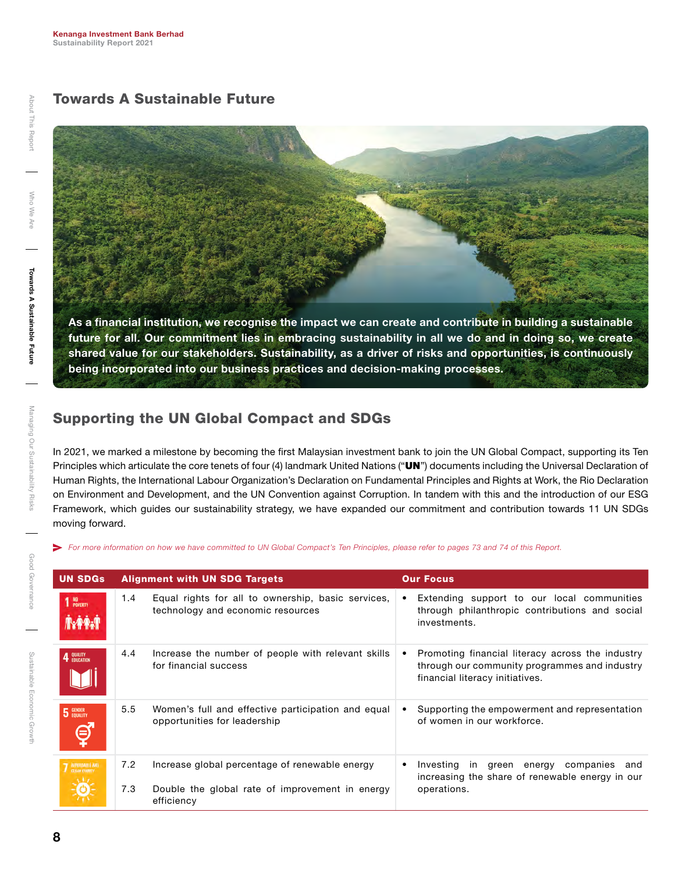## Towards A Sustainable Future

As a financial institution, we recognise the impact we can create and contribute in building a sustainable

future for all. Our commitment lies in embracing sustainability in all we do and in doing so, we create shared value for our stakeholders. Sustainability, as a driver of risks and opportunities, is continuously being incorporated into our business practices and decision-making processes.

## Supporting the UN Global Compact and SDGs

In 2021, we marked a milestone by becoming the first Malaysian investment bank to join the UN Global Compact, supporting its Ten Principles which articulate the core tenets of four (4) landmark United Nations ("UN") documents including the Universal Declaration of Human Rights, the International Labour Organization's Declaration on Fundamental Principles and Rights at Work, the Rio Declaration on Environment and Development, and the UN Convention against Corruption. In tandem with this and the introduction of our ESG Framework, which guides our sustainability strategy, we have expanded our commitment and contribution towards 11 UN SDGs moving forward.

*For more information on how we have committed to UN Global Compact's Ten Principles, please refer to pages 73 and 74 of this Report.*

| <b>UN SDGs</b>                                 |     | <b>Alignment with UN SDG Targets</b>                                                    |             | <b>Our Focus</b>                                                                                                                     |
|------------------------------------------------|-----|-----------------------------------------------------------------------------------------|-------------|--------------------------------------------------------------------------------------------------------------------------------------|
| 1 NO <sub>POVERTY</sub><br>Ñ∗ <del>Ŷ</del> Ŷ√Î | 1.4 | Equal rights for all to ownership, basic services,<br>technology and economic resources |             | Extending support to our local communities<br>through philanthropic contributions and social<br>investments.                         |
| QUALITY<br>Education                           | 4.4 | Increase the number of people with relevant skills<br>for financial success             | ٠           | Promoting financial literacy across the industry<br>through our community programmes and industry<br>financial literacy initiatives. |
| 5 GENDER                                       | 5.5 | Women's full and effective participation and equal<br>opportunities for leadership      |             | Supporting the empowerment and representation<br>of women in our workforce.                                                          |
| <b>7</b> AUTOROABLE AND                        | 7.2 | Increase global percentage of renewable energy                                          |             | green energy companies<br>Investing<br>in<br>and<br>increasing the share of renewable energy in our                                  |
|                                                | 7.3 | Double the global rate of improvement in energy<br>efficiency                           | operations. |                                                                                                                                      |